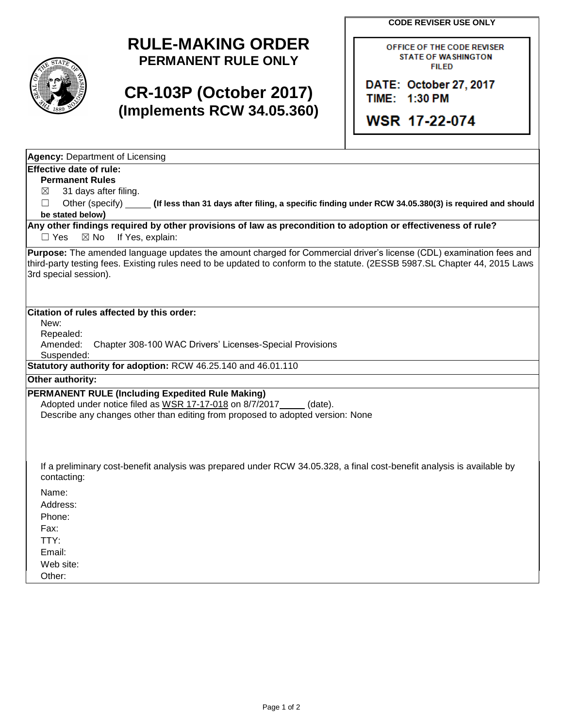**CODE REVISER USE ONLY**



## **RULE-MAKING ORDER PERMANENT RULE ONLY**

## **CR-103P (October 2017) (Implements RCW 34.05.360)**

OFFICE OF THE CODE REVISER **STATE OF WASHINGTON FILED** 

DATE: October 27, 2017 TIME: 1:30 PM

**WSR 17-22-074**